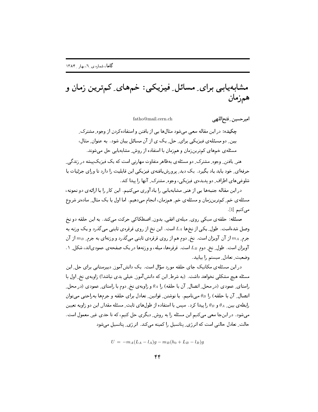مشابهپابی برای ِ مسائل ِ فیزیکی : خمهای ِ کمترین زمان و همزمان

 $fatho@mail.cern.ch$ 

امير حسين فقتح اللهي

۔<br>حکمدہ: در این مقاله سعے مے شود مثالِها ہے از پافتن واستفادہ کردن از وجوہ مشترک بین ِ دو مسئلهی فیزیکی برای ِ حل ِ یک ی از آن مسائل بیان شود. به عنوان ِ مثال، مسئلهی خمهای کمترینزمان و همزمان با استفاده از روش ِ مشابهیابی حل میشوند.

هنر پافتن وجوه مشترک دو مسئله ی بهظاهر متفاوت مهارتی است که یک فیزیک پیشه در زندگی حرفهای ِ خود باید یاد بگیرد . یک دید ِ پر ورش یافته ی فیزیکی این قابلیت را دارد تا ورای جزئیات یا شلوغی های اطراف ِ دو پدیده ی فیزیکی، وجوه ِ مشترک ِ آنها را پیدا کند.

در این مقاله جنبهها یی از هنر ِ مشابهپابی را یادآوری میکنیم. این کار را با ارائهی دو نمونه، مسئله ی خم ِ کمترینزمان و مسئله ی خم ِ همزمان، انجام میدهیم. اما اول با یک مثال ِ سادهتر شروع می کنیم [1] .

مسئله: حلقه ي سبكې روي ِ ميله ي افقې ِ بدون ِ اصطكاكې حركت مې كند. به اين حلقه دو نخ وصل شدهاست. طول ِ یکی از نخها L<sub>A</sub> است. این نخ از روی قرقرهی ثابتیی میگذرد و یک وزنه به جرم ِ  $m_A$  از آن آویزان است. نخ ِ دوم هم از روی قرقرهی ثابتی میگذرد و وزنهای به جرم ِ  $m_B$  از آن آویزان است. طول ِ نخ ِ دوم LB است. قرقرهها، میله، و وزنهها در یک صفحهی عمودیاند، شکل ِ ۱. وضعیت ِ تعادل ِ سیستم را بیابید.

در این مسئله ی مکانیک جای حلقه مورد سؤال است. یک دانشآموز ِ دبیرستانی برای حل ِ این مسئله هیچ مشکلی نخواهد داشت. (به شرط ِ این که دانش آموز ِ خیلی بدی نباشد!) زاویهی نخ ِ اول با راستای ِ عمودی (در محل ِ اتصال ِ آن با حلقه) را  $\theta_A$  و زاویهی نخ ِ دوم با راستای ِ عمودی (در محل ِ اتصال ِ آن با حلقه) را B& مینامیم. با نوشتن ِ قوانین ِ تعادل برای حلقه و جرمها بهراحتبی می توان رابطه ی بین ِ م $\theta_{A}$  و  $\theta_{B}$  را پیدا کرد. سپس با استفاده از طولهای ثابت ِ مسئله مقدار ِ این دو زاویه تعیین میشود. در اینجا سعی میکنیم این مسئله را به روش ِ دیگری حل کنیم، که تا حدی غیر ِ معمول است. حالت ِ تعادل حالتی است که انرژی ِ پتانسیل را کمینه میکند. انرژی ِ پتانسیل میشود

$$
U = -m_A(L_A - l_A)g - m_B(h_0 + L_B - l_B)g
$$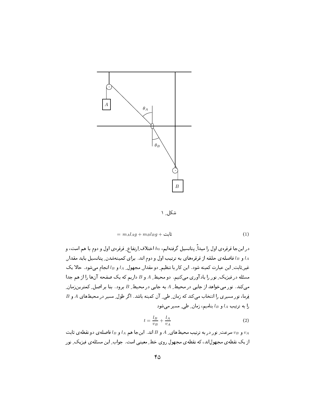

شکل ۱

$$
= m_A l_A g + m_B l_B g + \mathbf{i} \mathbf{j} \tag{1}
$$

در اینجا قرقرهی اول را مبداً ِ پتانسیل گرفتهایم، h، اختلاف اِرتفاع ِ قرقرهی اول و دوم با هم است، و و  $l_B$  فاصلهى حلقه از قرقرههاى به ترتيب اول و دوم اند. براى كمينهشدن ِ پتانسيل بايد مقدارِ  $l_A$ غیر ِثابت ِ این عبارت کمینه شود . این کار با تنظیم ِ دو مقدار ِ مجهول ِ La و La انجام میشود . حالا یک مسئله در فیزیک ِ نور را یادآوری میکنیم. دو محیط ِ A و B داریم که یک صفحه آنها را از هم جدا میکند. نور میخواهد از جایی در محیط ِ A به جایی در محیط ِ B برود. بنا بر اصل ِ کمترینزمان ِ  $B$  فِرما، نور مسیری را انتخاب میکند که زمان ِ طی ِ آن کمینه باشد. اگر طول ِ مسیر در محیطهای A و B را به ترتیب  $l_A$  و  $l_B$  بنامیم، زمان ِ طی ِ مسیر می شود

$$
t = \frac{l_B}{v_B} + \frac{l_A}{v_A} \tag{2}
$$

و  $v_B$  سرعت ِ نور در به ترتیب محیطهای ِ A و B اند. اینجا هم  $l_A$  و  $l_B$  فاصلهی دو نقطهی ثابت  $v_A$ از یک نقطه ی مجهول اند، که نقطه ی مجهول روی خط ِ معینی است. جواب ِ این مسئله ی فیزیک ِ نور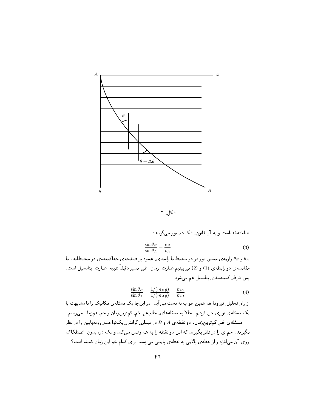

شکل ۲

شناختهشدهاست و به آن قانون ِ شکست ِ نور می گویند:

$$
\frac{\sin \theta_B}{\sin \theta_A} = \frac{v_B}{v_A} \tag{3}
$$

و B راویه ی مسیر ِ نور در دو محیط با راستای ِ عمود بر صفحهی جداکنندهی دو محیطاند. با  $\theta_B$ مقایسه ی دو رابطه ی (1) و (2) می بینیم عبارت ِ زمان ِ طی ِ مسیر دقیقاً شبیه ِ عبارت ِ پتانسیل است. یس شرط ِ کمینهشدن ِ پتانسیل هم میشود

$$
\frac{\sin \theta_B}{\sin \theta_A} = \frac{1/(m_B g)}{1/(m_A g)} = \frac{m_A}{m_B} \tag{4}
$$

از راه ِ تحلیل ِ نیروها هم همین جواب به دست می آید. در اینجا یک مسئلهی مکانیک را با مشابهت با یک مسئلهی نوری حل کردیم. حالا به مسئلههای ِ جالبتر ِ خم ِ کمترینزمان و خم ِ همزمان میرسیم. مسئلهی خم کمترینزمان: دو نقطهی A و B در میدان ِ گرانش ِ یکنواخت ِ روبهپایین را در نظر بگیرید. خم ی را در نظربگیرید که این دو نقطه را به هم وصل میکند و یک دره بدون ِ اصطکاک روی آن میلغزد و از نقطهی بالایی به نقطهی پایینی می رسد. برای کدام خم این زمان کمینه است؟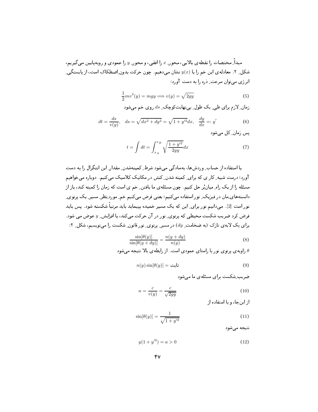مبداً ِ مختصات را نقطهى بالايي، محور ِ  $x$  را افقى، و محور ِ y را عمودى و روبهپايين مىگيريم، شکل ِ ۲. معادلهی این خم را با  $y(x)$  نشان میدهیم. چون حرکت بدون ِاصطکاک است، از پایستگی ِ انرژی مے توان سرعت دُرہ را به دست آورد:

$$
\frac{1}{2}mv^2(y) = mgy \Longrightarrow v(y) = \sqrt{2gy}
$$
\n(5)

زمان لازم برای طی یک طول بے نھایت کوچک  $ds$ روی خم می شود

$$
dt = \frac{ds}{v(y)}, \quad ds = \sqrt{dx^2 + dy^2} = \sqrt{1 + y'^2} dx, \quad \frac{dy}{dx} =: y' \tag{6}
$$

پس زمان کل مے شود

$$
t = \int dt = \int_{x_A}^{x_B} \sqrt{\frac{1 + y'^2}{2gy}} dx
$$
 (7)

با استفاده از حساب ِ وردشها، بهسادگی می شود شرط ِ کمینهشدن ِ مقدار ِ این انتگرال را به دست آورد؛ درست شبیه ِ کار ی که برای ِ کمینه شدن ِ کنش در مکانیک کلاسیک میکنیم. دوباره میخواهیم مسئله را از یک راه ِ میانبُر حل کنیم. چون مسئلهی ما یافتن ِ خم ی است که زمان را کمینه کند، باز از دانستههای ِمان در فیزیک ِ نور استفاده می کنیم؛ یعنی فرض می کنیم خم ِ مورد ِنظر ِ مسیر ِ یک پرتوی ِ نور است [2]. می دانیم نور برای ِ این که یک مسیر خمیده بییماید باید مرتباً شکسته شود. پس باید فرض کرد ضریب شکست محیطی که پرتوی ِ نور در آن حرکت می کند، با افزایش ِ  $y$  عوض می شود. برای یک لایه ی نازک (به ضخامت ِ dy) در مسیر ِ پرتوی ِ نور قانون ِ شکست را مینویسیم، شکل ِ ۲:

$$
\frac{\sin[\theta(y)]}{\sin[\theta(y+dy)]} = \frac{n(y+dy)}{n(y)}\tag{8}
$$

اویه ی پرتوی نور با راستای عمودی است. از رابطه ی بالا نتیجه می شود $\theta$ 

$$
n(y)\sin[\theta(y)] = \mathbf{L} \tag{9}
$$

ضربت شکست برای مسئلهی ما مے شود

$$
n = \frac{c}{v(y)} = \frac{c}{\sqrt{2gy}}
$$
\n<sup>(10)</sup>

از این جا، و با استفاده از

$$
\sin[\theta(y)] = \frac{1}{\sqrt{1+y'^2}}\tag{11}
$$

نتيجه مے شود

$$
y(1 + y'^2) = a > 0
$$
 (12)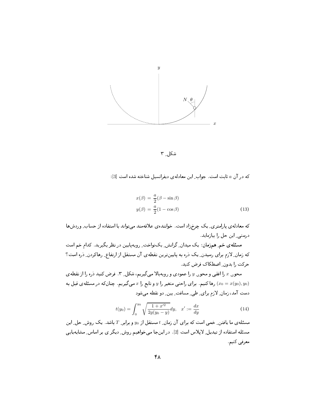

شکل ۲

که در آن a ثابت است. جواب این معادلهی دیفرانسیل شناخته شده است [3]:

$$
x(\beta) = \frac{a}{2}(\beta - \sin \beta)
$$
  

$$
y(\beta) = \frac{a}{2}(1 - \cos \beta)
$$
 (13)

که معادلهی پارامتری ِ یک چرخزاد است. خوانندهی علاقهمند می تواند با استفاده از حساب ِ وردشها درستی ِ این حل را پیازماید.

مسئلهی خم ِ همزمان: یک میدان ِ گرانش ِ یکنواخت ِ روبهپایین در نظر بگیرید. کدام خم است که زمان ِ لازم برای رسیدن ِ یک ذره به پایینترین نقطهی آن مستقل از ارتفاع ِ رهاکردن ِ ذره است؟ حرکت را بدون ِ اصطکاک فرض کنید.

محور ٍ & را افقى و محور ِ y را عمودى و روبهبالا مىگيريم، شكل ِ ٣ . فرض كنيد ذره را از نقطهى رها کنیم. برای راحتبی متغیر را  $y$  و تابع را ته میگیریم. چنانکه در مسئلهی قبل به  $(x_0 = x(y_0), y_0)$ دست آمد، زمان ِ لازم برای ِ طی ِ مسافت ِ بین ِ دو نقطه میشود

$$
t(y_0) = \int_0^{y_0} \sqrt{\frac{1+x'^2}{2g(y_0-y)}} dy, \quad x' := \frac{dx}{dy}
$$
 (14)

مسئله ی ما یافتن ِ خمی است که برای آن زمان ِ t مستقل از  $y_0$  و برابر ِ T باشد. یک روش ِ حل ِ این مسئله استفاده از تبدیل ِ لایلاس است [2] . در اینجا می خواهیم روش ِ دیگر ی بر اساس ِ مشابهپایی معرفي كنيم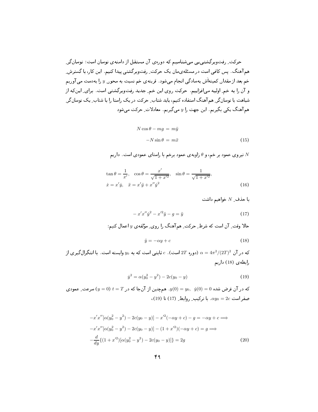$$
N\cos\theta - mg = m\ddot{y}
$$

$$
-N\sin\theta = m\ddot{x}
$$
(15)

نیروی عمود بر خم، و  $\theta$  زاویهی عمود برخم با راستای عمودی است. داریم  $N$ 

$$
\tan \theta = \frac{1}{x'}, \quad \cos \theta = \frac{x'}{\sqrt{1 + x'^2}}, \quad \sin \theta = \frac{1}{\sqrt{1 + x'^2}},
$$
  

$$
\dot{x} = x'\dot{y}, \quad \ddot{x} = x'\ddot{y} + x''\dot{y}^2
$$
 (16)

با حذف ِ N خواهيم داشت

$$
-x'x''\dot{y}^{2} - x'^{2}\ddot{y} - g = \ddot{y}
$$
\n(17)

حالا وقت ِ آن است که شرط ِ حرکت ِ هم آهنگ را روی ِ مؤلفه ی  $y$  اعمال کنیم:

$$
\ddot{y} = -\alpha y + c \tag{18}
$$

که در آن  $\alpha = 4\pi^2/(2T)^2$  (دوره  $T$ است).  $c$  ثابتمی است که به  $y_0$  وابسته است. با انتگرال $\alpha = 4\pi^2/(2T)^2$ رابطهى (18) داريم

$$
\dot{y}^2 = \alpha(y_0^2 - y^2) - 2c(y_0 - y) \tag{19}
$$

که در آن فرض شده  $y(0) = y_0, \; \; y(0) = y_0, \; \; y(0) = 0$ . همچنین از آنجا که در  $T = 0$  (  $y = 0$ ) سرعت ِ عمودی  $(19)$  صفر است  $2c = \alpha y_0 = 2c$ . با ترکیب ِ روابط ِ (17) تا

$$
-x'x''[\alpha(y_0^2 - y^2) - 2c(y_0 - y)] - x'^2(-\alpha y + c) - g = -\alpha y + c \Longrightarrow
$$
  

$$
-x'x''[\alpha(y_0^2 - y^2) - 2c(y_0 - y)] - (1 + x'^2)(-\alpha y + c) = g \Longrightarrow
$$
  

$$
-\frac{d}{dy}\{(1 + x'^2)[\alpha(y_0^2 - y^2) - 2c(y_0 - y)]\} = 2g
$$
 (20)